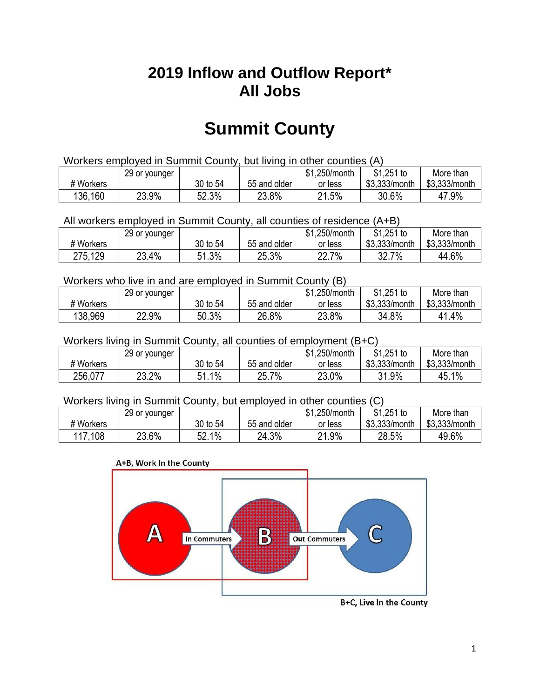## **2019 Inflow and Outflow Report\* All Jobs**

# **Summit County**

| Workers employed in Summit County, but living in other counties (A) |                                                            |          |              |         |               |               |  |  |  |
|---------------------------------------------------------------------|------------------------------------------------------------|----------|--------------|---------|---------------|---------------|--|--|--|
|                                                                     | $$1,251$ to<br>\$1,250/month<br>29 or younger<br>More than |          |              |         |               |               |  |  |  |
| # Workers                                                           |                                                            | 30 to 54 | 55 and older | or less | \$3.333/month | \$3,333/month |  |  |  |
| 136,160                                                             | 23.9%                                                      | 52.3%    | 23.8%        | 21.5%   | 30.6%         | 47.9%         |  |  |  |

All workers employed in Summit County, all counties of residence (A+B)

|           | 29 or younger |          |              | \$1,250/month | $$1,251$ to   | More than     |
|-----------|---------------|----------|--------------|---------------|---------------|---------------|
| # Workers |               | 30 to 54 | 55 and older | or less       | \$3,333/month | \$3,333/month |
| 275,129   | 23.4%<br>מח   | 51.3%    | 25.3%        | 22.7%         | $7\%$<br>32.7 | 44.6%         |

#### Workers who live in and are employed in Summit County (B)

|           | 29 or younger |          |              | \$1,250/month | $$1,251$ to   | More than     |
|-----------|---------------|----------|--------------|---------------|---------------|---------------|
| # Workers |               | 30 to 54 | 55 and older | or less       | \$3,333/month | \$3,333/month |
| 138,969   | 22.9%         | 50.3%    | 26.8%        | 23.8%         | 34.8%         | 41.4%         |

#### Workers living in Summit County, all counties of employment (B+C)

|           | 29 or younger |                            |              | \$1,250/month | \$1,251 to    | More than     |
|-----------|---------------|----------------------------|--------------|---------------|---------------|---------------|
| # Workers |               | 30 to 54                   | 55 and older | or less       | \$3,333/month | \$3,333/month |
| 256,077   | 23.2%         | $1\%$<br>C 4<br>. <b>.</b> | 25.7%        | 23.0%         | 31.9%         | 45.1%         |

#### Workers living in Summit County, but employed in other counties (C)

|           | 29 or younger |              |              | \$1,250/month | $$1,251$ to   | More than     |
|-----------|---------------|--------------|--------------|---------------|---------------|---------------|
| # Workers |               | 30 to 54     | 55 and older | or less       | \$3,333/month | \$3,333/month |
| 117,108   | 23.6%         | $1\%$<br>52. | 24.3%        | 21.9%         | 28.5%         | 49.6%         |

#### A+B, Work In the County